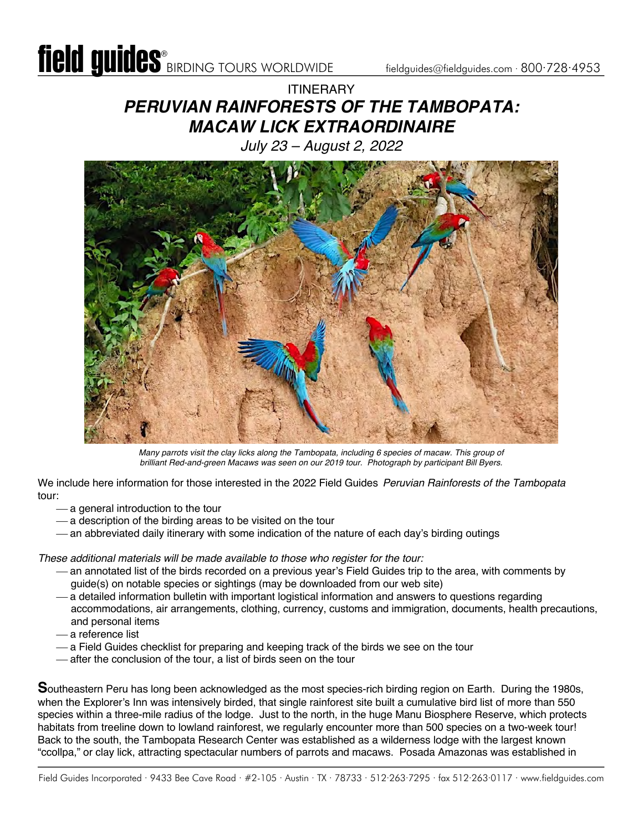# **ITINFRARY** *PERUVIAN RAINFORESTS OF THE TAMBOPATA: MACAW LICK EXTRAORDINAIRE*

*July 23 – August 2, 2022*



*Many parrots visit the clay licks along the Tambopata, including 6 species of macaw. This group of brilliant Red-and-green Macaws was seen on our 2019 tour. Photograph by participant Bill Byers.*

We include here information for those interested in the 2022 Field Guides *Peruvian Rainforests of the Tambopata* tour:

- $-$  a general introduction to the tour
- $-$  a description of the birding areas to be visited on the tour
- an abbreviated daily itinerary with some indication of the nature of each day's birding outings

*These additional materials will be made available to those who register for the tour:*

- ¾ an annotated list of the birds recorded on a previous year's Field Guides trip to the area, with comments by guide(s) on notable species or sightings (may be downloaded from our web site)
- ¾ a detailed information bulletin with important logistical information and answers to questions regarding accommodations, air arrangements, clothing, currency, customs and immigration, documents, health precautions, and personal items
- ¾ a reference list
- ¾ a Field Guides checklist for preparing and keeping track of the birds we see on the tour
- after the conclusion of the tour, a list of birds seen on the tour

**S**outheastern Peru has long been acknowledged as the most species-rich birding region on Earth. During the 1980s, when the Explorer's Inn was intensively birded, that single rainforest site built a cumulative bird list of more than 550 species within a three-mile radius of the lodge. Just to the north, in the huge Manu Biosphere Reserve, which protects habitats from treeline down to lowland rainforest, we regularly encounter more than 500 species on a two-week tour! Back to the south, the Tambopata Research Center was established as a wilderness lodge with the largest known "ccollpa," or clay lick, attracting spectacular numbers of parrots and macaws. Posada Amazonas was established in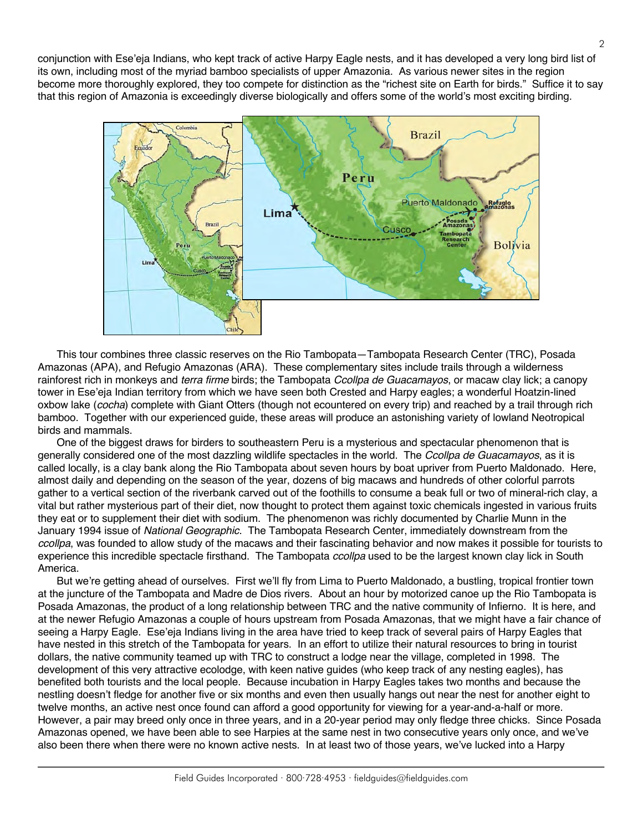conjunction with Ese'eja Indians, who kept track of active Harpy Eagle nests, and it has developed a very long bird list of its own, including most of the myriad bamboo specialists of upper Amazonia. As various newer sites in the region become more thoroughly explored, they too compete for distinction as the "richest site on Earth for birds." Suffice it to say that this region of Amazonia is exceedingly diverse biologically and offers some of the world's most exciting birding.



This tour combines three classic reserves on the Rio Tambopata—Tambopata Research Center (TRC), Posada Amazonas (APA), and Refugio Amazonas (ARA). These complementary sites include trails through a wilderness rainforest rich in monkeys and *terra firme* birds; the Tambopata *Ccollpa de Guacamayos*, or macaw clay lick; a canopy tower in Ese'eja Indian territory from which we have seen both Crested and Harpy eagles; a wonderful Hoatzin-lined oxbow lake (*cocha*) complete with Giant Otters (though not ecountered on every trip) and reached by a trail through rich bamboo. Together with our experienced guide, these areas will produce an astonishing variety of lowland Neotropical birds and mammals.

One of the biggest draws for birders to southeastern Peru is a mysterious and spectacular phenomenon that is generally considered one of the most dazzling wildlife spectacles in the world. The *Ccollpa de Guacamayos*, as it is called locally, is a clay bank along the Rio Tambopata about seven hours by boat upriver from Puerto Maldonado. Here, almost daily and depending on the season of the year, dozens of big macaws and hundreds of other colorful parrots gather to a vertical section of the riverbank carved out of the foothills to consume a beak full or two of mineral-rich clay, a vital but rather mysterious part of their diet, now thought to protect them against toxic chemicals ingested in various fruits they eat or to supplement their diet with sodium. The phenomenon was richly documented by Charlie Munn in the January 1994 issue of *National Geographic*. The Tambopata Research Center, immediately downstream from the *ccollpa*, was founded to allow study of the macaws and their fascinating behavior and now makes it possible for tourists to experience this incredible spectacle firsthand. The Tambopata *ccollpa* used to be the largest known clay lick in South America.

But we're getting ahead of ourselves. First we'll fly from Lima to Puerto Maldonado, a bustling, tropical frontier town at the juncture of the Tambopata and Madre de Dios rivers. About an hour by motorized canoe up the Rio Tambopata is Posada Amazonas, the product of a long relationship between TRC and the native community of Infierno. It is here, and at the newer Refugio Amazonas a couple of hours upstream from Posada Amazonas, that we might have a fair chance of seeing a Harpy Eagle. Ese'eja Indians living in the area have tried to keep track of several pairs of Harpy Eagles that have nested in this stretch of the Tambopata for years. In an effort to utilize their natural resources to bring in tourist dollars, the native community teamed up with TRC to construct a lodge near the village, completed in 1998. The development of this very attractive ecolodge, with keen native guides (who keep track of any nesting eagles), has benefited both tourists and the local people. Because incubation in Harpy Eagles takes two months and because the nestling doesn't fledge for another five or six months and even then usually hangs out near the nest for another eight to twelve months, an active nest once found can afford a good opportunity for viewing for a year-and-a-half or more. However, a pair may breed only once in three years, and in a 20-year period may only fledge three chicks. Since Posada Amazonas opened, we have been able to see Harpies at the same nest in two consecutive years only once, and we've also been there when there were no known active nests. In at least two of those years, we've lucked into a Harpy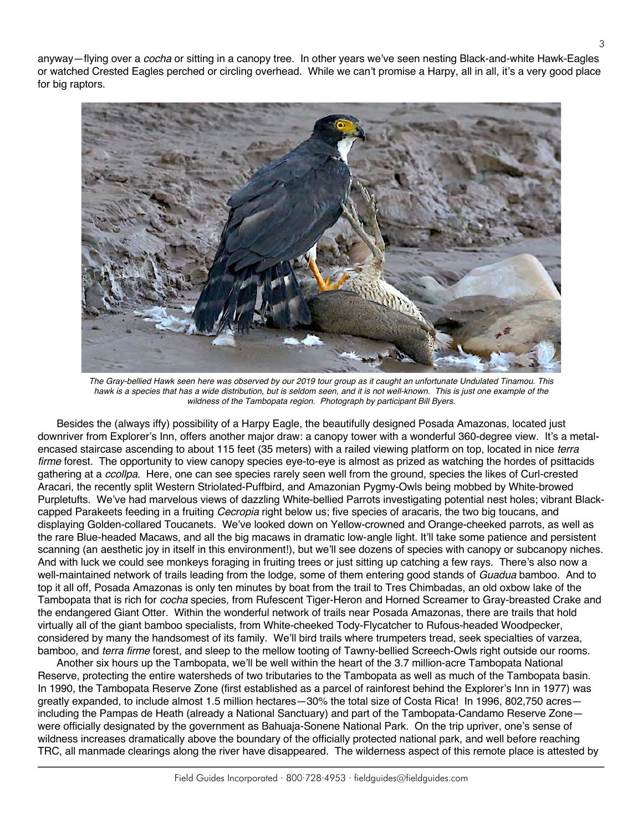anyway—flying over a *cocha* or sitting in a canopy tree. In other years we've seen nesting Black-and-white Hawk-Eagles or watched Crested Eagles perched or circling overhead. While we can't promise a Harpy, all in all, it's a very good place for big raptors.



*The Gray-bellied Hawk seen here was observed by our 2019 tour group as it caught an unfortunate Undulated Tinamou. This hawk is a species that has a wide distribution, but is seldom seen, and it is not well-known. This is just one example of the wildness of the Tambopata region. Photograph by participant Bill Byers.*

Besides the (always iffy) possibility of a Harpy Eagle, the beautifully designed Posada Amazonas, located just downriver from Explorer's Inn, offers another major draw: a canopy tower with a wonderful 360-degree view. It's a metalencased staircase ascending to about 115 feet (35 meters) with a railed viewing platform on top, located in nice *terra firme* forest. The opportunity to view canopy species eye-to-eye is almost as prized as watching the hordes of psittacids gathering at a *ccollpa*. Here, one can see species rarely seen well from the ground, species the likes of Curl-crested Aracari, the recently split Western Striolated-Puffbird, and Amazonian Pygmy-Owls being mobbed by White-browed Purpletufts. We've had marvelous views of dazzling White-bellied Parrots investigating potential nest holes; vibrant Blackcapped Parakeets feeding in a fruiting *Cecropia* right below us; five species of aracaris, the two big toucans, and displaying Golden-collared Toucanets. We've looked down on Yellow-crowned and Orange-cheeked parrots, as well as the rare Blue-headed Macaws, and all the big macaws in dramatic low-angle light. It'll take some patience and persistent scanning (an aesthetic joy in itself in this environment!), but we'll see dozens of species with canopy or subcanopy niches. And with luck we could see monkeys foraging in fruiting trees or just sitting up catching a few rays. There's also now a well-maintained network of trails leading from the lodge, some of them entering good stands of *Guadua* bamboo. And to top it all off, Posada Amazonas is only ten minutes by boat from the trail to Tres Chimbadas, an old oxbow lake of the Tambopata that is rich for *cocha* species, from Rufescent Tiger-Heron and Horned Screamer to Gray-breasted Crake and the endangered Giant Otter. Within the wonderful network of trails near Posada Amazonas, there are trails that hold virtually all of the giant bamboo specialists, from White-cheeked Tody-Flycatcher to Rufous-headed Woodpecker, considered by many the handsomest of its family. We'll bird trails where trumpeters tread, seek specialties of varzea, bamboo, and *terra firme* forest, and sleep to the mellow tooting of Tawny-bellied Screech-Owls right outside our rooms.

Another six hours up the Tambopata, we'll be well within the heart of the 3.7 million-acre Tambopata National Reserve, protecting the entire watersheds of two tributaries to the Tambopata as well as much of the Tambopata basin. In 1990, the Tambopata Reserve Zone (first established as a parcel of rainforest behind the Explorer's Inn in 1977) was greatly expanded, to include almost 1.5 million hectares—30% the total size of Costa Rica! In 1996, 802,750 acres including the Pampas de Heath (already a National Sanctuary) and part of the Tambopata-Candamo Reserve Zone were officially designated by the government as Bahuaja-Sonene National Park. On the trip upriver, one's sense of wildness increases dramatically above the boundary of the officially protected national park, and well before reaching TRC, all manmade clearings along the river have disappeared. The wilderness aspect of this remote place is attested by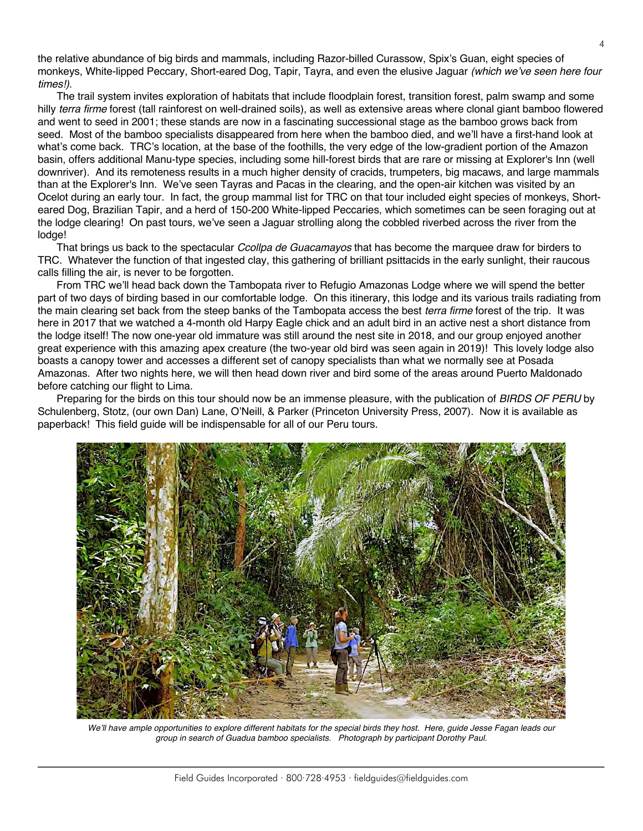the relative abundance of big birds and mammals, including Razor-billed Curassow, Spix's Guan, eight species of monkeys, White-lipped Peccary, Short-eared Dog, Tapir, Tayra, and even the elusive Jaguar *(which we've seen here four times!)*.

The trail system invites exploration of habitats that include floodplain forest, transition forest, palm swamp and some hilly *terra firme* forest (tall rainforest on well-drained soils), as well as extensive areas where clonal giant bamboo flowered and went to seed in 2001; these stands are now in a fascinating successional stage as the bamboo grows back from seed. Most of the bamboo specialists disappeared from here when the bamboo died, and we'll have a first-hand look at what's come back. TRC's location, at the base of the foothills, the very edge of the low-gradient portion of the Amazon basin, offers additional Manu-type species, including some hill-forest birds that are rare or missing at Explorer's Inn (well downriver). And its remoteness results in a much higher density of cracids, trumpeters, big macaws, and large mammals than at the Explorer's Inn. We've seen Tayras and Pacas in the clearing, and the open-air kitchen was visited by an Ocelot during an early tour. In fact, the group mammal list for TRC on that tour included eight species of monkeys, Shorteared Dog, Brazilian Tapir, and a herd of 150-200 White-lipped Peccaries, which sometimes can be seen foraging out at the lodge clearing! On past tours, we've seen a Jaguar strolling along the cobbled riverbed across the river from the lodge!

That brings us back to the spectacular *Ccollpa de Guacamayos* that has become the marquee draw for birders to TRC. Whatever the function of that ingested clay, this gathering of brilliant psittacids in the early sunlight, their raucous calls filling the air, is never to be forgotten.

From TRC we'll head back down the Tambopata river to Refugio Amazonas Lodge where we will spend the better part of two days of birding based in our comfortable lodge. On this itinerary, this lodge and its various trails radiating from the main clearing set back from the steep banks of the Tambopata access the best *terra firme* forest of the trip. It was here in 2017 that we watched a 4-month old Harpy Eagle chick and an adult bird in an active nest a short distance from the lodge itself! The now one-year old immature was still around the nest site in 2018, and our group enjoyed another great experience with this amazing apex creature (the two-year old bird was seen again in 2019)! This lovely lodge also boasts a canopy tower and accesses a different set of canopy specialists than what we normally see at Posada Amazonas. After two nights here, we will then head down river and bird some of the areas around Puerto Maldonado before catching our flight to Lima.

Preparing for the birds on this tour should now be an immense pleasure, with the publication of *BIRDS OF PERU* by Schulenberg, Stotz, (our own Dan) Lane, O'Neill, & Parker (Princeton University Press, 2007). Now it is available as paperback! This field guide will be indispensable for all of our Peru tours.



We'll have ample opportunities to explore different habitats for the special birds they host. Here, guide Jesse Fagan leads our *group in search of Guadua bamboo specialists. Photograph by participant Dorothy Paul.*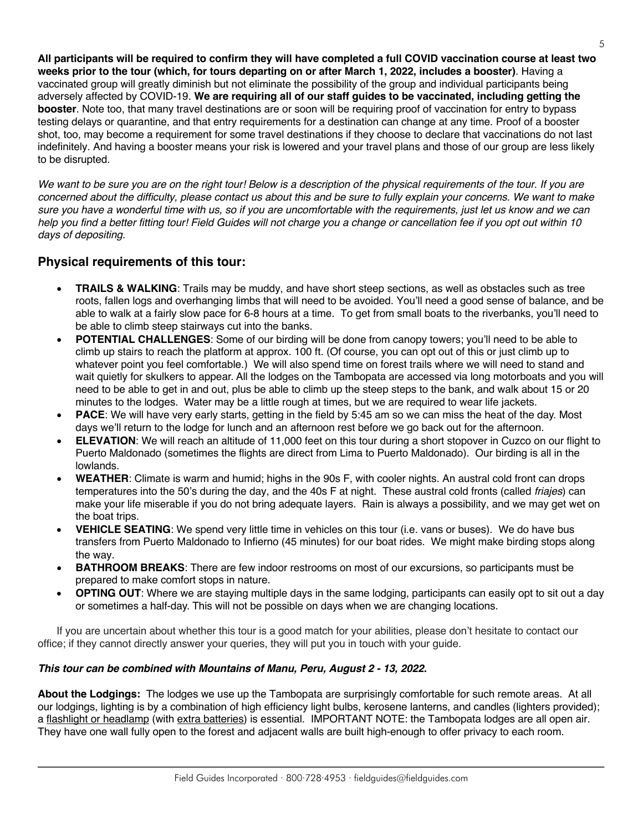**All participants will be required to confirm they will have completed a full COVID vaccination course at least two weeks prior to the tour (which, for tours departing on or after March 1, 2022, includes a booster)**. Having a vaccinated group will greatly diminish but not eliminate the possibility of the group and individual participants being adversely affected by COVID-19. **We are requiring all of our staff guides to be vaccinated, including getting the booster**. Note too, that many travel destinations are or soon will be requiring proof of vaccination for entry to bypass testing delays or quarantine, and that entry requirements for a destination can change at any time. Proof of a booster shot, too, may become a requirement for some travel destinations if they choose to declare that vaccinations do not last indefinitely. And having a booster means your risk is lowered and your travel plans and those of our group are less likely to be disrupted.

*We want to be sure you are on the right tour! Below is a description of the physical requirements of the tour. If you are concerned about the difficulty, please contact us about this and be sure to fully explain your concerns. We want to make sure you have a wonderful time with us, so if you are uncomfortable with the requirements, just let us know and we can help you find a better fitting tour! Field Guides will not charge you a change or cancellation fee if you opt out within 10 days of depositing.*

### **Physical requirements of this tour:**

- **TRAILS & WALKING**: Trails may be muddy, and have short steep sections, as well as obstacles such as tree roots, fallen logs and overhanging limbs that will need to be avoided. You'll need a good sense of balance, and be able to walk at a fairly slow pace for 6-8 hours at a time. To get from small boats to the riverbanks, you'll need to be able to climb steep stairways cut into the banks.
- **POTENTIAL CHALLENGES**: Some of our birding will be done from canopy towers; you'll need to be able to climb up stairs to reach the platform at approx. 100 ft. (Of course, you can opt out of this or just climb up to whatever point you feel comfortable.) We will also spend time on forest trails where we will need to stand and wait quietly for skulkers to appear. All the lodges on the Tambopata are accessed via long motorboats and you will need to be able to get in and out, plus be able to climb up the steep steps to the bank, and walk about 15 or 20 minutes to the lodges. Water may be a little rough at times, but we are required to wear life jackets.
- **PACE**: We will have very early starts, getting in the field by 5:45 am so we can miss the heat of the day. Most days we'll return to the lodge for lunch and an afternoon rest before we go back out for the afternoon.
- **ELEVATION:** We will reach an altitude of 11,000 feet on this tour during a short stopover in Cuzco on our flight to Puerto Maldonado (sometimes the flights are direct from Lima to Puerto Maldonado). Our birding is all in the lowlands.
- **WEATHER**: Climate is warm and humid; highs in the 90s F, with cooler nights. An austral cold front can drops temperatures into the 50's during the day, and the 40s F at night. These austral cold fronts (called *friajes*) can make your life miserable if you do not bring adequate layers. Rain is always a possibility, and we may get wet on the boat trips.
- **VEHICLE SEATING**: We spend very little time in vehicles on this tour (i.e. vans or buses). We do have bus transfers from Puerto Maldonado to Infierno (45 minutes) for our boat rides. We might make birding stops along the way.
- **BATHROOM BREAKS:** There are few indoor restrooms on most of our excursions, so participants must be prepared to make comfort stops in nature.
- **OPTING OUT**: Where we are staying multiple days in the same lodging, participants can easily opt to sit out a day or sometimes a half-day. This will not be possible on days when we are changing locations.

If you are uncertain about whether this tour is a good match for your abilities, please don't hesitate to contact our office; if they cannot directly answer your queries, they will put you in touch with your guide.

#### *This tour can be combined with Mountains of Manu, Peru, August 2 - 13, 2022.*

**About the Lodgings:** The lodges we use up the Tambopata are surprisingly comfortable for such remote areas. At all our lodgings, lighting is by a combination of high efficiency light bulbs, kerosene lanterns, and candles (lighters provided); a flashlight or headlamp (with extra batteries) is essential. IMPORTANT NOTE: the Tambopata lodges are all open air. They have one wall fully open to the forest and adjacent walls are built high-enough to offer privacy to each room.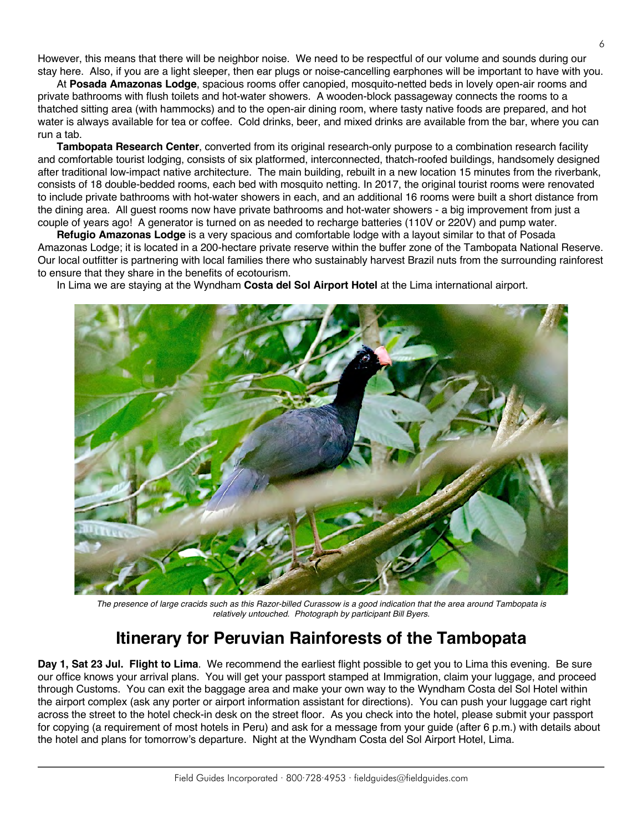However, this means that there will be neighbor noise. We need to be respectful of our volume and sounds during our stay here. Also, if you are a light sleeper, then ear plugs or noise-cancelling earphones will be important to have with you.

At **Posada Amazonas Lodge**, spacious rooms offer canopied, mosquito-netted beds in lovely open-air rooms and private bathrooms with flush toilets and hot-water showers. A wooden-block passageway connects the rooms to a thatched sitting area (with hammocks) and to the open-air dining room, where tasty native foods are prepared, and hot water is always available for tea or coffee. Cold drinks, beer, and mixed drinks are available from the bar, where you can run a tab.

**Tambopata Research Center**, converted from its original research-only purpose to a combination research facility and comfortable tourist lodging, consists of six platformed, interconnected, thatch-roofed buildings, handsomely designed after traditional low-impact native architecture. The main building, rebuilt in a new location 15 minutes from the riverbank, consists of 18 double-bedded rooms, each bed with mosquito netting. In 2017, the original tourist rooms were renovated to include private bathrooms with hot-water showers in each, and an additional 16 rooms were built a short distance from the dining area. All guest rooms now have private bathrooms and hot-water showers - a big improvement from just a couple of years ago! A generator is turned on as needed to recharge batteries (110V or 220V) and pump water.

**Refugio Amazonas Lodge** is a very spacious and comfortable lodge with a layout similar to that of Posada Amazonas Lodge; it is located in a 200-hectare private reserve within the buffer zone of the Tambopata National Reserve. Our local outfitter is partnering with local families there who sustainably harvest Brazil nuts from the surrounding rainforest to ensure that they share in the benefits of ecotourism.

In Lima we are staying at the Wyndham **Costa del Sol Airport Hotel** at the Lima international airport.



*The presence of large cracids such as this Razor-billed Curassow is a good indication that the area around Tambopata is relatively untouched. Photograph by participant Bill Byers.*

# **Itinerary for Peruvian Rainforests of the Tambopata**

**Day 1, Sat 23 Jul. Flight to Lima**. We recommend the earliest flight possible to get you to Lima this evening. Be sure our office knows your arrival plans. You will get your passport stamped at Immigration, claim your luggage, and proceed through Customs. You can exit the baggage area and make your own way to the Wyndham Costa del Sol Hotel within the airport complex (ask any porter or airport information assistant for directions). You can push your luggage cart right across the street to the hotel check-in desk on the street floor. As you check into the hotel, please submit your passport for copying (a requirement of most hotels in Peru) and ask for a message from your guide (after 6 p.m.) with details about the hotel and plans for tomorrow's departure. Night at the Wyndham Costa del Sol Airport Hotel, Lima.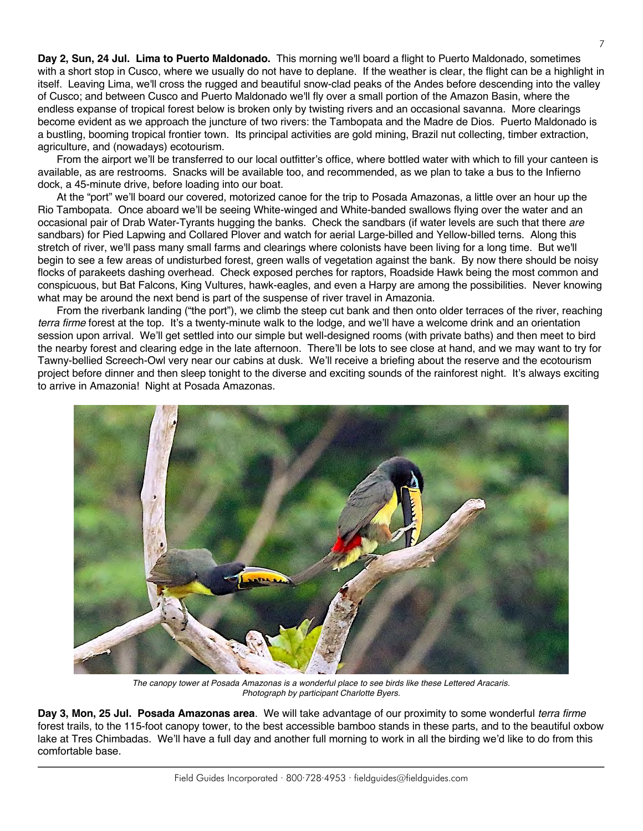**Day 2, Sun, 24 Jul. Lima to Puerto Maldonado.** This morning we'll board a flight to Puerto Maldonado, sometimes with a short stop in Cusco, where we usually do not have to deplane. If the weather is clear, the flight can be a highlight in itself. Leaving Lima, we'll cross the rugged and beautiful snow-clad peaks of the Andes before descending into the valley of Cusco; and between Cusco and Puerto Maldonado we'll fly over a small portion of the Amazon Basin, where the endless expanse of tropical forest below is broken only by twisting rivers and an occasional savanna. More clearings become evident as we approach the juncture of two rivers: the Tambopata and the Madre de Dios. Puerto Maldonado is a bustling, booming tropical frontier town. Its principal activities are gold mining, Brazil nut collecting, timber extraction, agriculture, and (nowadays) ecotourism.

From the airport we'll be transferred to our local outfitter's office, where bottled water with which to fill your canteen is available, as are restrooms. Snacks will be available too, and recommended, as we plan to take a bus to the Infierno dock, a 45-minute drive, before loading into our boat.

At the "port" we'll board our covered, motorized canoe for the trip to Posada Amazonas, a little over an hour up the Rio Tambopata. Once aboard we'll be seeing White-winged and White-banded swallows flying over the water and an occasional pair of Drab Water-Tyrants hugging the banks. Check the sandbars (if water levels are such that there *are* sandbars) for Pied Lapwing and Collared Plover and watch for aerial Large-billed and Yellow-billed terns. Along this stretch of river, we'll pass many small farms and clearings where colonists have been living for a long time. But we'll begin to see a few areas of undisturbed forest, green walls of vegetation against the bank. By now there should be noisy flocks of parakeets dashing overhead. Check exposed perches for raptors, Roadside Hawk being the most common and conspicuous, but Bat Falcons, King Vultures, hawk-eagles, and even a Harpy are among the possibilities. Never knowing what may be around the next bend is part of the suspense of river travel in Amazonia.

From the riverbank landing ("the port"), we climb the steep cut bank and then onto older terraces of the river, reaching *terra firme* forest at the top. It's a twenty-minute walk to the lodge, and we'll have a welcome drink and an orientation session upon arrival. We'll get settled into our simple but well-designed rooms (with private baths) and then meet to bird the nearby forest and clearing edge in the late afternoon. There'll be lots to see close at hand, and we may want to try for Tawny-bellied Screech-Owl very near our cabins at dusk. We'll receive a briefing about the reserve and the ecotourism project before dinner and then sleep tonight to the diverse and exciting sounds of the rainforest night. It's always exciting to arrive in Amazonia! Night at Posada Amazonas.



*The canopy tower at Posada Amazonas is a wonderful place to see birds like these Lettered Aracaris. Photograph by participant Charlotte Byers.*

**Day 3, Mon, 25 Jul. Posada Amazonas area**. We will take advantage of our proximity to some wonderful *terra firme* forest trails, to the 115-foot canopy tower, to the best accessible bamboo stands in these parts, and to the beautiful oxbow lake at Tres Chimbadas. We'll have a full day and another full morning to work in all the birding we'd like to do from this comfortable base.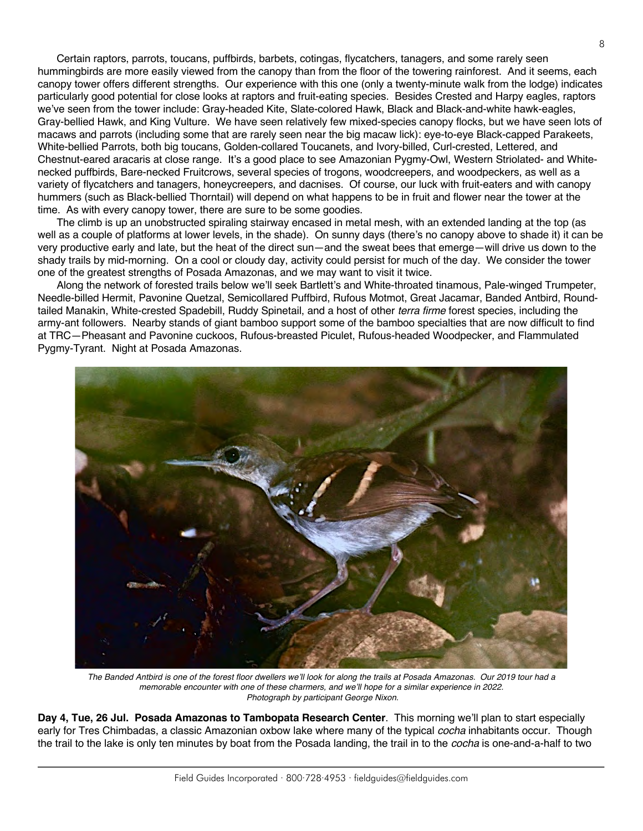Certain raptors, parrots, toucans, puffbirds, barbets, cotingas, flycatchers, tanagers, and some rarely seen hummingbirds are more easily viewed from the canopy than from the floor of the towering rainforest. And it seems, each canopy tower offers different strengths. Our experience with this one (only a twenty-minute walk from the lodge) indicates particularly good potential for close looks at raptors and fruit-eating species. Besides Crested and Harpy eagles, raptors we've seen from the tower include: Gray-headed Kite, Slate-colored Hawk, Black and Black-and-white hawk-eagles, Gray-bellied Hawk, and King Vulture. We have seen relatively few mixed-species canopy flocks, but we have seen lots of macaws and parrots (including some that are rarely seen near the big macaw lick): eye-to-eye Black-capped Parakeets, White-bellied Parrots, both big toucans, Golden-collared Toucanets, and Ivory-billed, Curl-crested, Lettered, and Chestnut-eared aracaris at close range. It's a good place to see Amazonian Pygmy-Owl, Western Striolated- and Whitenecked puffbirds, Bare-necked Fruitcrows, several species of trogons, woodcreepers, and woodpeckers, as well as a variety of flycatchers and tanagers, honeycreepers, and dacnises. Of course, our luck with fruit-eaters and with canopy hummers (such as Black-bellied Thorntail) will depend on what happens to be in fruit and flower near the tower at the time. As with every canopy tower, there are sure to be some goodies.

The climb is up an unobstructed spiraling stairway encased in metal mesh, with an extended landing at the top (as well as a couple of platforms at lower levels, in the shade). On sunny days (there's no canopy above to shade it) it can be very productive early and late, but the heat of the direct sun—and the sweat bees that emerge—will drive us down to the shady trails by mid-morning. On a cool or cloudy day, activity could persist for much of the day. We consider the tower one of the greatest strengths of Posada Amazonas, and we may want to visit it twice.

Along the network of forested trails below we'll seek Bartlett's and White-throated tinamous, Pale-winged Trumpeter, Needle-billed Hermit, Pavonine Quetzal, Semicollared Puffbird, Rufous Motmot, Great Jacamar, Banded Antbird, Roundtailed Manakin, White-crested Spadebill, Ruddy Spinetail, and a host of other *terra firme* forest species, including the army-ant followers. Nearby stands of giant bamboo support some of the bamboo specialties that are now difficult to find at TRC—Pheasant and Pavonine cuckoos, Rufous-breasted Piculet, Rufous-headed Woodpecker, and Flammulated Pygmy-Tyrant. Night at Posada Amazonas.



*The Banded Antbird is one of the forest floor dwellers we'll look for along the trails at Posada Amazonas. Our 2019 tour had a memorable encounter with one of these charmers, and we'll hope for a similar experience in 2022. Photograph by participant George Nixon.*

**Day 4, Tue, 26 Jul. Posada Amazonas to Tambopata Research Center**. This morning we'll plan to start especially early for Tres Chimbadas, a classic Amazonian oxbow lake where many of the typical *cocha* inhabitants occur. Though the trail to the lake is only ten minutes by boat from the Posada landing, the trail in to the *cocha* is one-and-a-half to two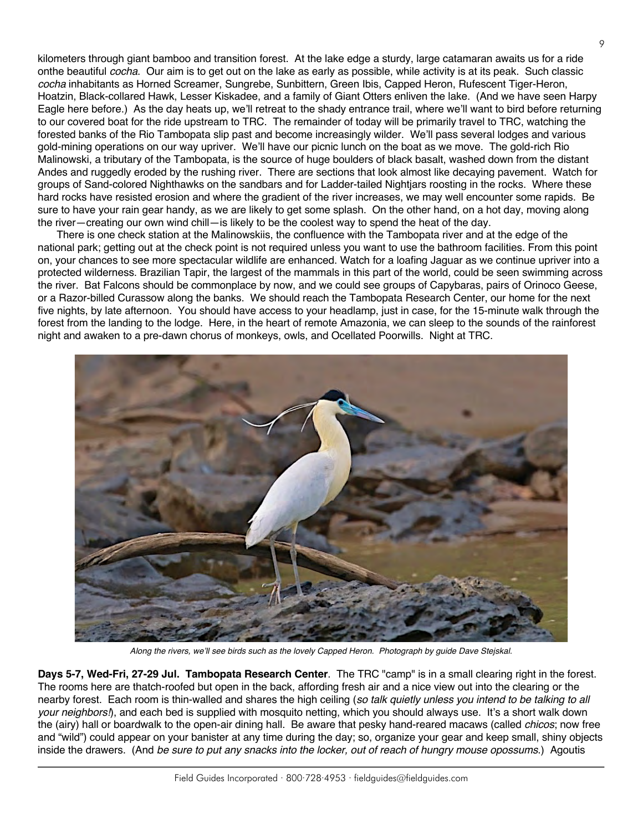kilometers through giant bamboo and transition forest. At the lake edge a sturdy, large catamaran awaits us for a ride onthe beautiful *cocha*. Our aim is to get out on the lake as early as possible, while activity is at its peak. Such classic *cocha* inhabitants as Horned Screamer, Sungrebe, Sunbittern, Green Ibis, Capped Heron, Rufescent Tiger-Heron, Hoatzin, Black-collared Hawk, Lesser Kiskadee, and a family of Giant Otters enliven the lake. (And we have seen Harpy Eagle here before.) As the day heats up, we'll retreat to the shady entrance trail, where we'll want to bird before returning to our covered boat for the ride upstream to TRC. The remainder of today will be primarily travel to TRC, watching the forested banks of the Rio Tambopata slip past and become increasingly wilder. We'll pass several lodges and various gold-mining operations on our way upriver. We'll have our picnic lunch on the boat as we move. The gold-rich Rio Malinowski, a tributary of the Tambopata, is the source of huge boulders of black basalt, washed down from the distant Andes and ruggedly eroded by the rushing river. There are sections that look almost like decaying pavement. Watch for groups of Sand-colored Nighthawks on the sandbars and for Ladder-tailed Nightjars roosting in the rocks. Where these hard rocks have resisted erosion and where the gradient of the river increases, we may well encounter some rapids. Be sure to have your rain gear handy, as we are likely to get some splash. On the other hand, on a hot day, moving along the river—creating our own wind chill—is likely to be the coolest way to spend the heat of the day.

There is one check station at the Malinowskiis, the confluence with the Tambopata river and at the edge of the national park; getting out at the check point is not required unless you want to use the bathroom facilities. From this point on, your chances to see more spectacular wildlife are enhanced. Watch for a loafing Jaguar as we continue upriver into a protected wilderness. Brazilian Tapir, the largest of the mammals in this part of the world, could be seen swimming across the river. Bat Falcons should be commonplace by now, and we could see groups of Capybaras, pairs of Orinoco Geese, or a Razor-billed Curassow along the banks. We should reach the Tambopata Research Center, our home for the next five nights, by late afternoon. You should have access to your headlamp, just in case, for the 15-minute walk through the forest from the landing to the lodge. Here, in the heart of remote Amazonia, we can sleep to the sounds of the rainforest night and awaken to a pre-dawn chorus of monkeys, owls, and Ocellated Poorwills. Night at TRC.



*Along the rivers, we'll see birds such as the lovely Capped Heron. Photograph by guide Dave Stejskal.*

**Days 5-7, Wed-Fri, 27-29 Jul. Tambopata Research Center**. The TRC "camp" is in a small clearing right in the forest. The rooms here are thatch-roofed but open in the back, affording fresh air and a nice view out into the clearing or the nearby forest. Each room is thin-walled and shares the high ceiling (*so talk quietly unless you intend to be talking to all your neighbors!*), and each bed is supplied with mosquito netting, which you should always use. It's a short walk down the (airy) hall or boardwalk to the open-air dining hall. Be aware that pesky hand-reared macaws (called *chicos*; now free and "wild") could appear on your banister at any time during the day; so, organize your gear and keep small, shiny objects inside the drawers. (And *be sure to put any snacks into the locker, out of reach of hungry mouse opossums*.) Agoutis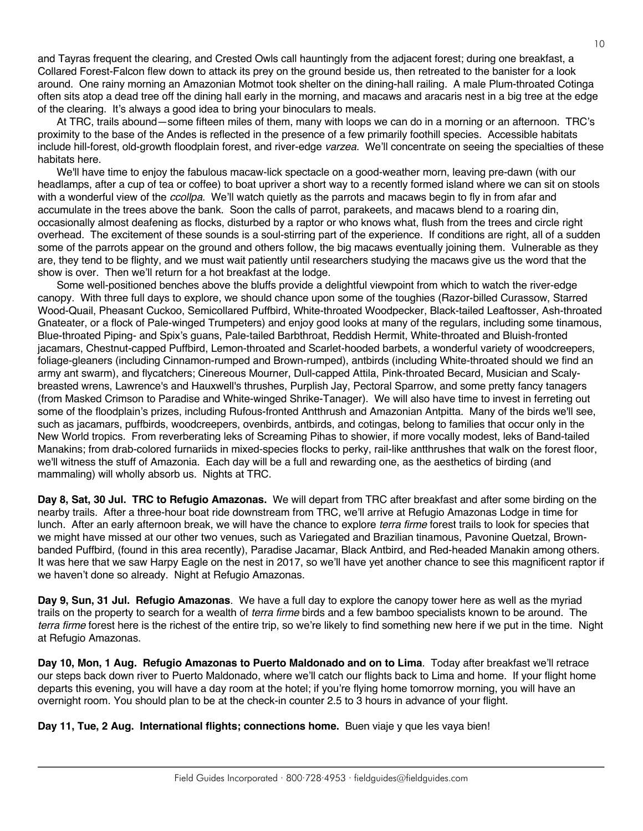and Tayras frequent the clearing, and Crested Owls call hauntingly from the adjacent forest; during one breakfast, a Collared Forest-Falcon flew down to attack its prey on the ground beside us, then retreated to the banister for a look around. One rainy morning an Amazonian Motmot took shelter on the dining-hall railing. A male Plum-throated Cotinga often sits atop a dead tree off the dining hall early in the morning, and macaws and aracaris nest in a big tree at the edge of the clearing. It's always a good idea to bring your binoculars to meals.

At TRC, trails abound—some fifteen miles of them, many with loops we can do in a morning or an afternoon. TRC's proximity to the base of the Andes is reflected in the presence of a few primarily foothill species. Accessible habitats include hill-forest, old-growth floodplain forest, and river-edge *varzea*. We'll concentrate on seeing the specialties of these habitats here.

We'll have time to enjoy the fabulous macaw-lick spectacle on a good-weather morn, leaving pre-dawn (with our headlamps, after a cup of tea or coffee) to boat upriver a short way to a recently formed island where we can sit on stools with a wonderful view of the *ccollpa*. We'll watch quietly as the parrots and macaws begin to fly in from afar and accumulate in the trees above the bank. Soon the calls of parrot, parakeets, and macaws blend to a roaring din, occasionally almost deafening as flocks, disturbed by a raptor or who knows what, flush from the trees and circle right overhead. The excitement of these sounds is a soul-stirring part of the experience. If conditions are right, all of a sudden some of the parrots appear on the ground and others follow, the big macaws eventually joining them. Vulnerable as they are, they tend to be flighty, and we must wait patiently until researchers studying the macaws give us the word that the show is over. Then we'll return for a hot breakfast at the lodge.

Some well-positioned benches above the bluffs provide a delightful viewpoint from which to watch the river-edge canopy. With three full days to explore, we should chance upon some of the toughies (Razor-billed Curassow, Starred Wood-Quail, Pheasant Cuckoo, Semicollared Puffbird, White-throated Woodpecker, Black-tailed Leaftosser, Ash-throated Gnateater, or a flock of Pale-winged Trumpeters) and enjoy good looks at many of the regulars, including some tinamous, Blue-throated Piping- and Spix's guans, Pale-tailed Barbthroat, Reddish Hermit, White-throated and Bluish-fronted jacamars, Chestnut-capped Puffbird, Lemon-throated and Scarlet-hooded barbets, a wonderful variety of woodcreepers, foliage-gleaners (including Cinnamon-rumped and Brown-rumped), antbirds (including White-throated should we find an army ant swarm), and flycatchers; Cinereous Mourner, Dull-capped Attila, Pink-throated Becard, Musician and Scalybreasted wrens, Lawrence's and Hauxwell's thrushes, Purplish Jay, Pectoral Sparrow, and some pretty fancy tanagers (from Masked Crimson to Paradise and White-winged Shrike-Tanager). We will also have time to invest in ferreting out some of the floodplain's prizes, including Rufous-fronted Antthrush and Amazonian Antpitta. Many of the birds we'll see, such as jacamars, puffbirds, woodcreepers, ovenbirds, antbirds, and cotingas, belong to families that occur only in the New World tropics. From reverberating leks of Screaming Pihas to showier, if more vocally modest, leks of Band-tailed Manakins; from drab-colored furnariids in mixed-species flocks to perky, rail-like antthrushes that walk on the forest floor, we'll witness the stuff of Amazonia. Each day will be a full and rewarding one, as the aesthetics of birding (and mammaling) will wholly absorb us. Nights at TRC.

**Day 8, Sat, 30 Jul. TRC to Refugio Amazonas.** We will depart from TRC after breakfast and after some birding on the nearby trails. After a three-hour boat ride downstream from TRC, we'll arrive at Refugio Amazonas Lodge in time for lunch.After an early afternoon break, we will have the chance to explore *terra firme* forest trails to look for species that we might have missed at our other two venues, such as Variegated and Brazilian tinamous, Pavonine Quetzal, Brownbanded Puffbird, (found in this area recently), Paradise Jacamar, Black Antbird, and Red-headed Manakin among others. It was here that we saw Harpy Eagle on the nest in 2017, so we'll have yet another chance to see this magnificent raptor if we haven't done so already. Night at Refugio Amazonas.

**Day 9, Sun, 31 Jul. Refugio Amazonas**. We have a full day to explore the canopy tower here as well as the myriad trails on the property to search for a wealth of *terra firme* birds and a few bamboo specialists known to be around. The *terra firme* forest here is the richest of the entire trip, so we're likely to find something new here if we put in the time. Night at Refugio Amazonas.

**Day 10, Mon, 1 Aug. Refugio Amazonas to Puerto Maldonado and on to Lima**. Today after breakfast we'll retrace our steps back down river to Puerto Maldonado, where we'll catch our flights back to Lima and home. If your flight home departs this evening, you will have a day room at the hotel; if you're flying home tomorrow morning, you will have an overnight room. You should plan to be at the check-in counter 2.5 to 3 hours in advance of your flight.

**Day 11, Tue, 2 Aug. International flights; connections home.** Buen viaje y que les vaya bien!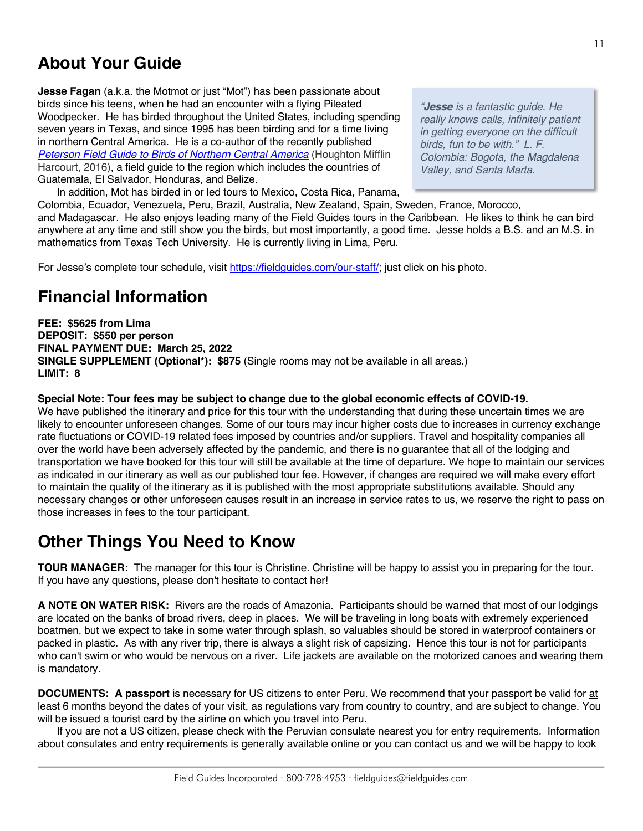# **About Your Guide**

**Jesse Fagan** (a.k.a. the Motmot or just "Mot") has been passionate about birds since his teens, when he had an encounter with a flying Pileated Woodpecker. He has birded throughout the United States, including spending seven years in Texas, and since 1995 has been birding and for a time living in northern Central America. He is a co-author of the recently published *[Peterson Field Guide to Birds of Northern Central America](https://www.amazon.com/Peterson-Northern-Central-America-Guides/dp/054437326X)* (Houghton Mifflin Harcourt, 2016), a field guide to the region which includes the countries of Guatemala, El Salvador, Honduras, and Belize.

In addition, Mot has birded in or led tours to Mexico, Costa Rica, Panama,

*"Jesse is a fantastic guide. He really knows calls, infinitely patient in getting everyone on the difficult birds, fun to be with." L. F. Colombia: Bogota, the Magdalena Valley, and Santa Marta.*

Colombia, Ecuador, Venezuela, Peru, Brazil, Australia, New Zealand, Spain, Sweden, France, Morocco, and Madagascar. He also enjoys leading many of the Field Guides tours in the Caribbean. He likes to think he can bird anywhere at any time and still show you the birds, but most importantly, a good time. Jesse holds a B.S. and an M.S. in mathematics from Texas Tech University. He is currently living in Lima, Peru.

For Jesse's complete tour schedule, visit https://fieldguides.com/our-staff/; just click on his photo.

# **Financial Information**

**FEE: \$5625 from Lima DEPOSIT: \$550 per person FINAL PAYMENT DUE: March 25, 2022 SINGLE SUPPLEMENT (Optional\*): \$875** (Single rooms may not be available in all areas.) **LIMIT: 8**

#### **Special Note: Tour fees may be subject to change due to the global economic effects of COVID-19.**

We have published the itinerary and price for this tour with the understanding that during these uncertain times we are likely to encounter unforeseen changes. Some of our tours may incur higher costs due to increases in currency exchange rate fluctuations or COVID-19 related fees imposed by countries and/or suppliers. Travel and hospitality companies all over the world have been adversely affected by the pandemic, and there is no guarantee that all of the lodging and transportation we have booked for this tour will still be available at the time of departure. We hope to maintain our services as indicated in our itinerary as well as our published tour fee. However, if changes are required we will make every effort to maintain the quality of the itinerary as it is published with the most appropriate substitutions available. Should any necessary changes or other unforeseen causes result in an increase in service rates to us, we reserve the right to pass on those increases in fees to the tour participant.

# **Other Things You Need to Know**

**TOUR MANAGER:** The manager for this tour is Christine. Christine will be happy to assist you in preparing for the tour. If you have any questions, please don't hesitate to contact her!

**A NOTE ON WATER RISK:** Rivers are the roads of Amazonia. Participants should be warned that most of our lodgings are located on the banks of broad rivers, deep in places. We will be traveling in long boats with extremely experienced boatmen, but we expect to take in some water through splash, so valuables should be stored in waterproof containers or packed in plastic. As with any river trip, there is always a slight risk of capsizing. Hence this tour is not for participants who can't swim or who would be nervous on a river. Life jackets are available on the motorized canoes and wearing them is mandatory.

**DOCUMENTS: A passport** is necessary for US citizens to enter Peru. We recommend that your passport be valid for at least 6 months beyond the dates of your visit, as regulations vary from country to country, and are subject to change. You will be issued a tourist card by the airline on which you travel into Peru.

If you are not a US citizen, please check with the Peruvian consulate nearest you for entry requirements. Information about consulates and entry requirements is generally available online or you can contact us and we will be happy to look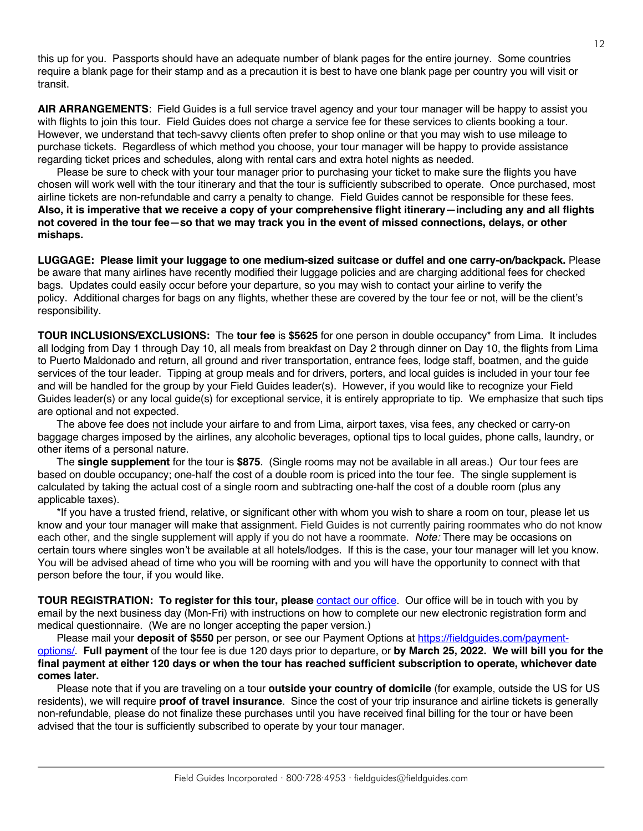this up for you. Passports should have an adequate number of blank pages for the entire journey. Some countries require a blank page for their stamp and as a precaution it is best to have one blank page per country you will visit or transit.

**AIR ARRANGEMENTS**: Field Guides is a full service travel agency and your tour manager will be happy to assist you with flights to join this tour. Field Guides does not charge a service fee for these services to clients booking a tour. However, we understand that tech-savvy clients often prefer to shop online or that you may wish to use mileage to purchase tickets. Regardless of which method you choose, your tour manager will be happy to provide assistance regarding ticket prices and schedules, along with rental cars and extra hotel nights as needed.

Please be sure to check with your tour manager prior to purchasing your ticket to make sure the flights you have chosen will work well with the tour itinerary and that the tour is sufficiently subscribed to operate. Once purchased, most airline tickets are non-refundable and carry a penalty to change. Field Guides cannot be responsible for these fees. **Also, it is imperative that we receive a copy of your comprehensive flight itinerary—including any and all flights not covered in the tour fee—so that we may track you in the event of missed connections, delays, or other mishaps.**

**LUGGAGE: Please limit your luggage to one medium-sized suitcase or duffel and one carry-on/backpack.** Please be aware that many airlines have recently modified their luggage policies and are charging additional fees for checked bags. Updates could easily occur before your departure, so you may wish to contact your airline to verify the policy. Additional charges for bags on any flights, whether these are covered by the tour fee or not, will be the client's responsibility.

**TOUR INCLUSIONS/EXCLUSIONS:** The **tour fee** is **\$5625** for one person in double occupancy\* from Lima. It includes all lodging from Day 1 through Day 10, all meals from breakfast on Day 2 through dinner on Day 10, the flights from Lima to Puerto Maldonado and return, all ground and river transportation, entrance fees, lodge staff, boatmen, and the guide services of the tour leader. Tipping at group meals and for drivers, porters, and local guides is included in your tour fee and will be handled for the group by your Field Guides leader(s). However, if you would like to recognize your Field Guides leader(s) or any local guide(s) for exceptional service, it is entirely appropriate to tip. We emphasize that such tips are optional and not expected.

The above fee does not include your airfare to and from Lima, airport taxes, visa fees, any checked or carry-on baggage charges imposed by the airlines, any alcoholic beverages, optional tips to local guides, phone calls, laundry, or other items of a personal nature.

The **single supplement** for the tour is **\$875**. (Single rooms may not be available in all areas.) Our tour fees are based on double occupancy; one-half the cost of a double room is priced into the tour fee. The single supplement is calculated by taking the actual cost of a single room and subtracting one-half the cost of a double room (plus any applicable taxes).

\*If you have a trusted friend, relative, or significant other with whom you wish to share a room on tour, please let us know and your tour manager will make that assignment. Field Guides is not currently pairing roommates who do not know each other, and the single supplement will apply if you do not have a roommate. *Note:* There may be occasions on certain tours where singles won't be available at all hotels/lodges. If this is the case, your tour manager will let you know. You will be advised ahead of time who you will be rooming with and you will have the opportunity to connect with that person before the tour, if you would like.

**TOUR REGISTRATION: To register for this tour, please** [contact our office.](https://fieldguides.com/contact-us/) Our office will be in touch with you by email by the next business day (Mon-Fri) with instructions on how to complete our new electronic registration form and medical questionnaire. (We are no longer accepting the paper version.)

Please mail your **deposit of \$550** per person, or see our Payment Options at [https://fieldguides.com/payment](https://fieldguides.com/payment-options/)[options/](https://fieldguides.com/payment-options/). **Full payment** of the tour fee is due 120 days prior to departure, or **by March 25, 2022. We will bill you for the final payment at either 120 days or when the tour has reached sufficient subscription to operate, whichever date comes later.**

Please note that if you are traveling on a tour **outside your country of domicile** (for example, outside the US for US residents), we will require **proof of travel insurance**. Since the cost of your trip insurance and airline tickets is generally non-refundable, please do not finalize these purchases until you have received final billing for the tour or have been advised that the tour is sufficiently subscribed to operate by your tour manager.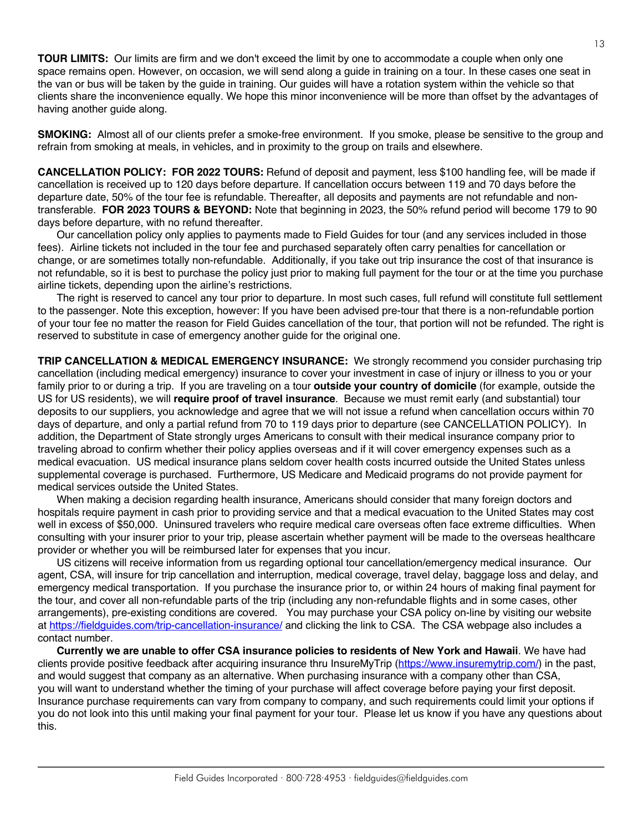**TOUR LIMITS:** Our limits are firm and we don't exceed the limit by one to accommodate a couple when only one space remains open. However, on occasion, we will send along a guide in training on a tour. In these cases one seat in the van or bus will be taken by the guide in training. Our guides will have a rotation system within the vehicle so that clients share the inconvenience equally. We hope this minor inconvenience will be more than offset by the advantages of having another guide along.

**SMOKING:** Almost all of our clients prefer a smoke-free environment. If you smoke, please be sensitive to the group and refrain from smoking at meals, in vehicles, and in proximity to the group on trails and elsewhere.

**CANCELLATION POLICY: FOR 2022 TOURS:** Refund of deposit and payment, less \$100 handling fee, will be made if cancellation is received up to 120 days before departure. If cancellation occurs between 119 and 70 days before the departure date, 50% of the tour fee is refundable. Thereafter, all deposits and payments are not refundable and nontransferable. **FOR 2023 TOURS & BEYOND:** Note that beginning in 2023, the 50% refund period will become 179 to 90 days before departure, with no refund thereafter.

Our cancellation policy only applies to payments made to Field Guides for tour (and any services included in those fees). Airline tickets not included in the tour fee and purchased separately often carry penalties for cancellation or change, or are sometimes totally non-refundable. Additionally, if you take out trip insurance the cost of that insurance is not refundable, so it is best to purchase the policy just prior to making full payment for the tour or at the time you purchase airline tickets, depending upon the airline's restrictions.

The right is reserved to cancel any tour prior to departure. In most such cases, full refund will constitute full settlement to the passenger. Note this exception, however: If you have been advised pre-tour that there is a non-refundable portion of your tour fee no matter the reason for Field Guides cancellation of the tour, that portion will not be refunded. The right is reserved to substitute in case of emergency another guide for the original one.

**TRIP CANCELLATION & MEDICAL EMERGENCY INSURANCE:** We strongly recommend you consider purchasing trip cancellation (including medical emergency) insurance to cover your investment in case of injury or illness to you or your family prior to or during a trip. If you are traveling on a tour **outside your country of domicile** (for example, outside the US for US residents), we will **require proof of travel insurance**. Because we must remit early (and substantial) tour deposits to our suppliers, you acknowledge and agree that we will not issue a refund when cancellation occurs within 70 days of departure, and only a partial refund from 70 to 119 days prior to departure (see CANCELLATION POLICY). In addition, the Department of State strongly urges Americans to consult with their medical insurance company prior to traveling abroad to confirm whether their policy applies overseas and if it will cover emergency expenses such as a medical evacuation. US medical insurance plans seldom cover health costs incurred outside the United States unless supplemental coverage is purchased. Furthermore, US Medicare and Medicaid programs do not provide payment for medical services outside the United States.

When making a decision regarding health insurance, Americans should consider that many foreign doctors and hospitals require payment in cash prior to providing service and that a medical evacuation to the United States may cost well in excess of \$50,000. Uninsured travelers who require medical care overseas often face extreme difficulties. When consulting with your insurer prior to your trip, please ascertain whether payment will be made to the overseas healthcare provider or whether you will be reimbursed later for expenses that you incur.

US citizens will receive information from us regarding optional tour cancellation/emergency medical insurance. Our agent, CSA, will insure for trip cancellation and interruption, medical coverage, travel delay, baggage loss and delay, and emergency medical transportation. If you purchase the insurance prior to, or within 24 hours of making final payment for the tour, and cover all non-refundable parts of the trip (including any non-refundable flights and in some cases, other arrangements), pre-existing conditions are covered. You may purchase your CSA policy on-line by visiting our website at https://fieldguides.com/trip-cancellation-insurance/ and clicking the link to CSA. The CSA webpage also includes a contact number.

**Currently we are unable to offer CSA insurance policies to residents of New York and Hawaii**. We have had clients provide positive feedback after acquiring insurance thru InsureMyTrip (https://www.insuremytrip.com/) in the past, and would suggest that company as an alternative. When purchasing insurance with a company other than CSA, you will want to understand whether the timing of your purchase will affect coverage before paying your first deposit. Insurance purchase requirements can vary from company to company, and such requirements could limit your options if you do not look into this until making your final payment for your tour. Please let us know if you have any questions about this.